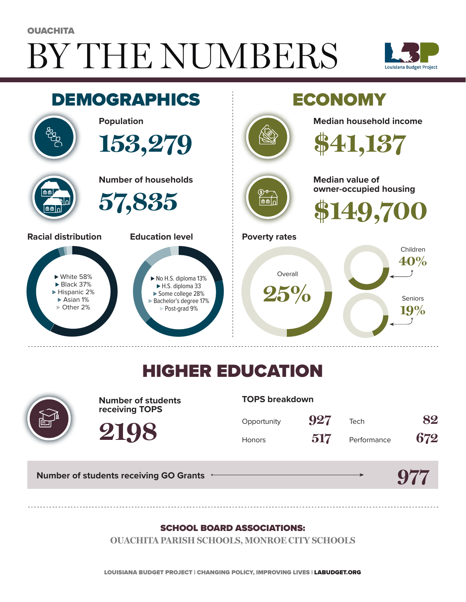# BY THE NUMBERS **OUACHITA**





## HIGHER EDUCATION



**Number of students receiving TOPS**

#### **TOPS breakdown**

| Opportunity   | 927 | Tech        | 82  |
|---------------|-----|-------------|-----|
| <b>Honors</b> | 517 | Performance | 672 |

**Number of students receiving GO Grants**

**2198**

## **977**

#### SCHOOL BOARD ASSOCIATIONS:

**OUACHITA PARISH SCHOOLS, MONROE CITY SCHOOLS**